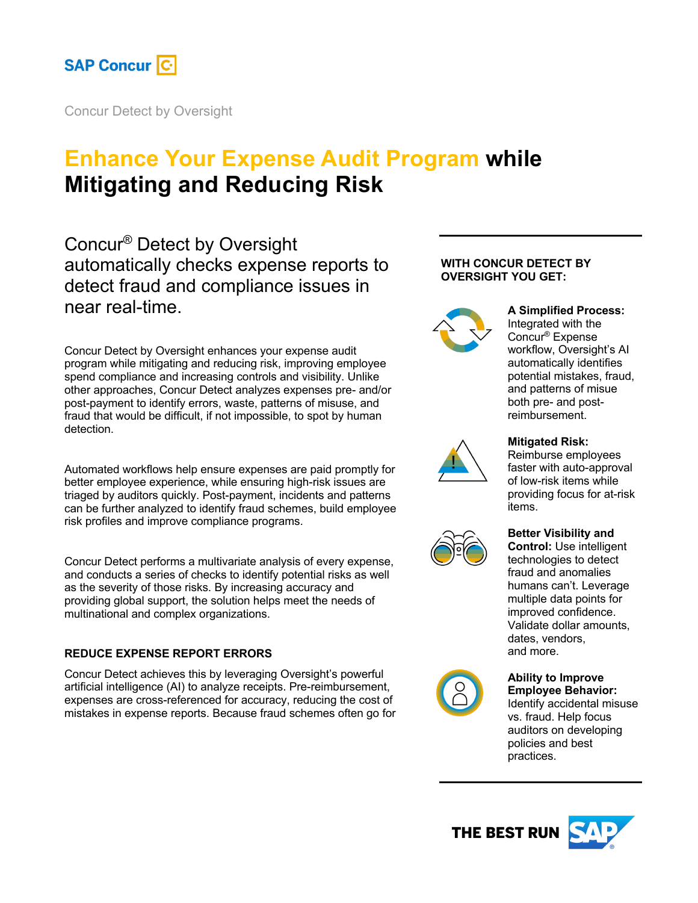

Concur Detect by Oversight

# **Enhance Your Expense Audit Program while Mitigating and Reducing Risk**

Concur® Detect by Oversight automatically checks expense reports to detect fraud and compliance issues in near real-time.

Concur Detect by Oversight enhances your expense audit program while mitigating and reducing risk, improving employee spend compliance and increasing controls and visibility. Unlike other approaches, Concur Detect analyzes expenses pre- and/or post-payment to identify errors, waste, patterns of misuse, and fraud that would be difficult, if not impossible, to spot by human detection.

Automated workflows help ensure expenses are paid promptly for better employee experience, while ensuring high-risk issues are triaged by auditors quickly. Post-payment, incidents and patterns can be further analyzed to identify fraud schemes, build employee risk profiles and improve compliance programs.

Concur Detect performs a multivariate analysis of every expense, and conducts a series of checks to identify potential risks as well as the severity of those risks. By increasing accuracy and providing global support, the solution helps meet the needs of multinational and complex organizations.

# **REDUCE EXPENSE REPORT ERRORS**

Concur Detect achieves this by leveraging Oversight's powerful artificial intelligence (AI) to analyze receipts. Pre-reimbursement, expenses are cross-referenced for accuracy, reducing the cost of mistakes in expense reports. Because fraud schemes often go for

# **WITH CONCUR DETECT BY OVERSIGHT YOU GET:**



# **A Simplified Process:**

Integrated with the Concur® Expense workflow, Oversight's AI automatically identifies potential mistakes, fraud, and patterns of misue both pre- and postreimbursement.



# **Mitigated Risk:**

Reimburse employees faster with auto-approval of low-risk items while providing focus for at-risk items.

# **Better Visibility and**

**Control:** Use intelligent technologies to detect fraud and anomalies humans can't. Leverage multiple data points for improved confidence. Validate dollar amounts, dates, vendors, and more.



#### **Ability to Improve Employee Behavior:**

Identify accidental misuse vs. fraud. Help focus auditors on developing policies and best practices.

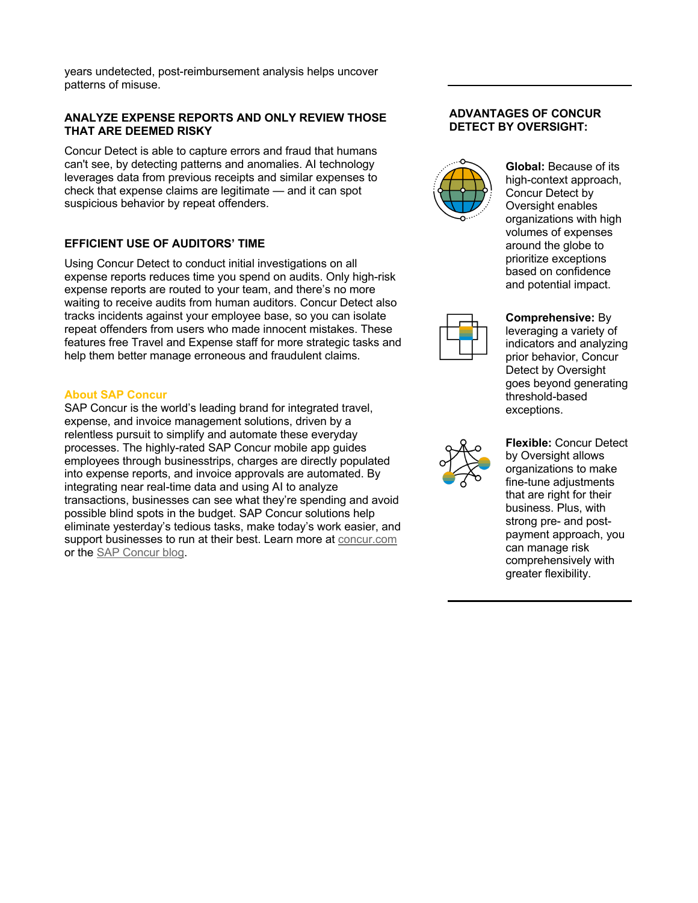years undetected, post-reimbursement analysis helps uncover patterns of misuse.

### **ANALYZE EXPENSE REPORTS AND ONLY REVIEW THOSE THAT ARE DEEMED RISKY**

Concur Detect is able to capture errors and fraud that humans can't see, by detecting patterns and anomalies. AI technology leverages data from previous receipts and similar expenses to check that expense claims are legitimate — and it can spot suspicious behavior by repeat offenders.

# **EFFICIENT USE OF AUDITORS' TIME**

Using Concur Detect to conduct initial investigations on all expense reports reduces time you spend on audits. Only high-risk expense reports are routed to your team, and there's no more waiting to receive audits from human auditors. Concur Detect also tracks incidents against your employee base, so you can isolate repeat offenders from users who made innocent mistakes. These features free Travel and Expense staff for more strategic tasks and help them better manage erroneous and fraudulent claims.

# **About SAP Concur**

SAP Concur is the world's leading brand for integrated travel, expense, and invoice management solutions, driven by a relentless pursuit to simplify and automate these everyday processes. The highly-rated SAP Concur mobile app guides employees through businesstrips, charges are directly populated into expense reports, and invoice approvals are automated. By integrating near real-time data and using AI to analyze transactions, businesses can see what they're spending and avoid possible blind spots in the budget. SAP Concur solutions help eliminate yesterday's tedious tasks, make today's work easier, and support businesses to run at their best. Learn more at concur.com or the SAP Concur blog.

## **ADVANTAGES OF CONCUR DETECT BY OVERSIGHT:**



**Global:** Because of its high-context approach, Concur Detect by Oversight enables organizations with high volumes of expenses around the globe to prioritize exceptions based on confidence and potential impact.



**Comprehensive:** By leveraging a variety of indicators and analyzing prior behavior, Concur Detect by Oversight goes beyond generating threshold-based exceptions.



**Flexible:** Concur Detect by Oversight allows organizations to make fine-tune adjustments that are right for their business. Plus, with strong pre- and postpayment approach, you can manage risk comprehensively with greater flexibility.